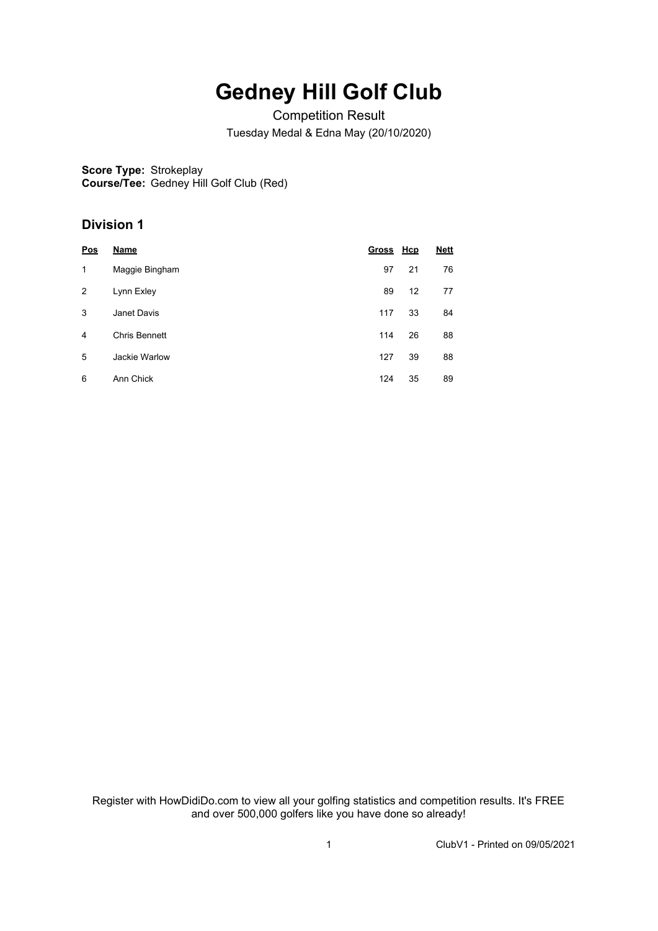## **Gedney Hill Golf Club**

Competition Result Tuesday Medal & Edna May (20/10/2020)

**Score Type:** Strokeplay **Course/Tee:** Gedney Hill Golf Club (Red)

## **Division 1**

| Pos | <b>Name</b>    | Gross Hcp |    | <b>Nett</b> |
|-----|----------------|-----------|----|-------------|
| 1   | Maggie Bingham | 97        | 21 | 76          |
| 2   | Lynn Exley     | 89        | 12 | 77          |
| 3   | Janet Davis    | 117       | 33 | 84          |
| 4   | Chris Bennett  | 114       | 26 | 88          |
| 5   | Jackie Warlow  | 127       | 39 | 88          |
| 6   | Ann Chick      | 124       | 35 | 89          |

Register with HowDidiDo.com to view all your golfing statistics and competition results. It's FREE and over 500,000 golfers like you have done so already!